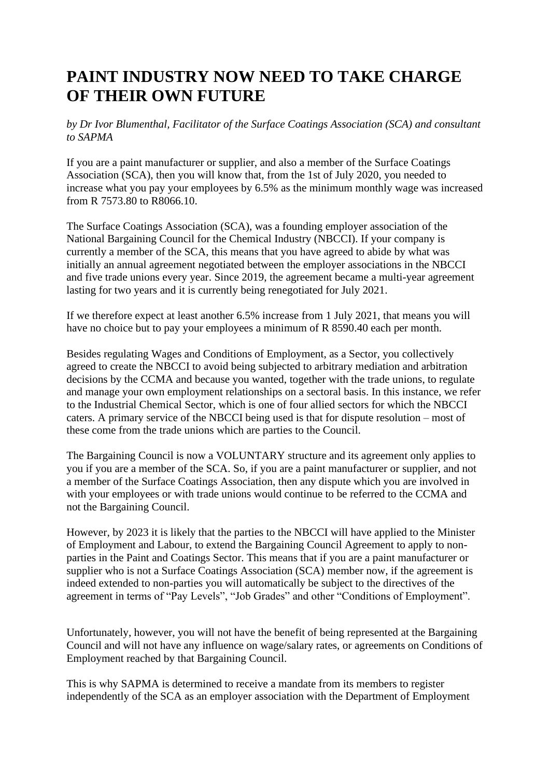## **PAINT INDUSTRY NOW NEED TO TAKE CHARGE OF THEIR OWN FUTURE**

*by Dr Ivor Blumenthal, Facilitator of the Surface Coatings Association (SCA) and consultant to SAPMA*

If you are a paint manufacturer or supplier, and also a member of the Surface Coatings Association (SCA), then you will know that, from the 1st of July 2020, you needed to increase what you pay your employees by 6.5% as the minimum monthly wage was increased from R 7573.80 to R8066.10.

The Surface Coatings Association (SCA), was a founding employer association of the National Bargaining Council for the Chemical Industry (NBCCI). If your company is currently a member of the SCA, this means that you have agreed to abide by what was initially an annual agreement negotiated between the employer associations in the NBCCI and five trade unions every year. Since 2019, the agreement became a multi-year agreement lasting for two years and it is currently being renegotiated for July 2021.

If we therefore expect at least another 6.5% increase from 1 July 2021, that means you will have no choice but to pay your employees a minimum of R 8590.40 each per month.

Besides regulating Wages and Conditions of Employment, as a Sector, you collectively agreed to create the NBCCI to avoid being subjected to arbitrary mediation and arbitration decisions by the CCMA and because you wanted, together with the trade unions, to regulate and manage your own employment relationships on a sectoral basis. In this instance, we refer to the Industrial Chemical Sector, which is one of four allied sectors for which the NBCCI caters. A primary service of the NBCCI being used is that for dispute resolution – most of these come from the trade unions which are parties to the Council.

The Bargaining Council is now a VOLUNTARY structure and its agreement only applies to you if you are a member of the SCA. So, if you are a paint manufacturer or supplier, and not a member of the Surface Coatings Association, then any dispute which you are involved in with your employees or with trade unions would continue to be referred to the CCMA and not the Bargaining Council.

However, by 2023 it is likely that the parties to the NBCCI will have applied to the Minister of Employment and Labour, to extend the Bargaining Council Agreement to apply to nonparties in the Paint and Coatings Sector. This means that if you are a paint manufacturer or supplier who is not a Surface Coatings Association (SCA) member now, if the agreement is indeed extended to non-parties you will automatically be subject to the directives of the agreement in terms of "Pay Levels", "Job Grades" and other "Conditions of Employment".

Unfortunately, however, you will not have the benefit of being represented at the Bargaining Council and will not have any influence on wage/salary rates, or agreements on Conditions of Employment reached by that Bargaining Council.

This is why SAPMA is determined to receive a mandate from its members to register independently of the SCA as an employer association with the Department of Employment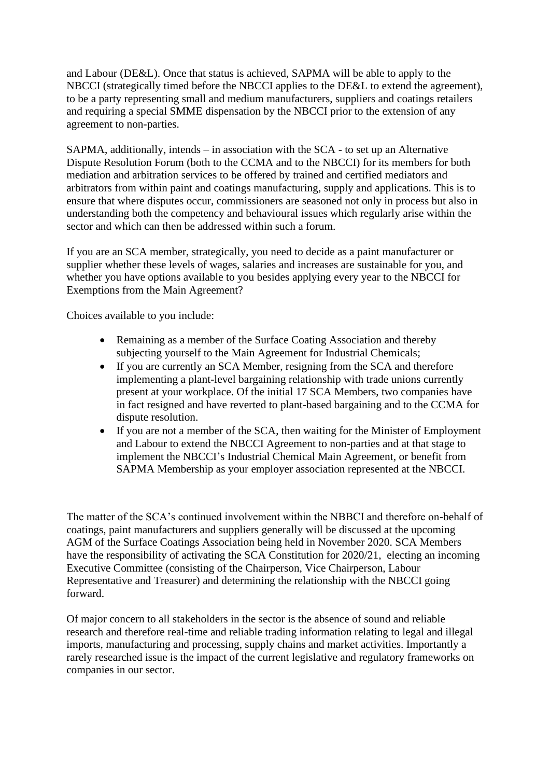and Labour (DE&L). Once that status is achieved, SAPMA will be able to apply to the NBCCI (strategically timed before the NBCCI applies to the DE&L to extend the agreement), to be a party representing small and medium manufacturers, suppliers and coatings retailers and requiring a special SMME dispensation by the NBCCI prior to the extension of any agreement to non-parties.

SAPMA, additionally, intends – in association with the SCA - to set up an Alternative Dispute Resolution Forum (both to the CCMA and to the NBCCI) for its members for both mediation and arbitration services to be offered by trained and certified mediators and arbitrators from within paint and coatings manufacturing, supply and applications. This is to ensure that where disputes occur, commissioners are seasoned not only in process but also in understanding both the competency and behavioural issues which regularly arise within the sector and which can then be addressed within such a forum.

If you are an SCA member, strategically, you need to decide as a paint manufacturer or supplier whether these levels of wages, salaries and increases are sustainable for you, and whether you have options available to you besides applying every year to the NBCCI for Exemptions from the Main Agreement?

Choices available to you include:

- Remaining as a member of the Surface Coating Association and thereby subjecting yourself to the Main Agreement for Industrial Chemicals;
- If you are currently an SCA Member, resigning from the SCA and therefore implementing a plant-level bargaining relationship with trade unions currently present at your workplace. Of the initial 17 SCA Members, two companies have in fact resigned and have reverted to plant-based bargaining and to the CCMA for dispute resolution.
- If you are not a member of the SCA, then waiting for the Minister of Employment and Labour to extend the NBCCI Agreement to non-parties and at that stage to implement the NBCCI's Industrial Chemical Main Agreement, or benefit from SAPMA Membership as your employer association represented at the NBCCI.

The matter of the SCA's continued involvement within the NBBCI and therefore on-behalf of coatings, paint manufacturers and suppliers generally will be discussed at the upcoming AGM of the Surface Coatings Association being held in November 2020. SCA Members have the responsibility of activating the SCA Constitution for 2020/21, electing an incoming Executive Committee (consisting of the Chairperson, Vice Chairperson, Labour Representative and Treasurer) and determining the relationship with the NBCCI going forward.

Of major concern to all stakeholders in the sector is the absence of sound and reliable research and therefore real-time and reliable trading information relating to legal and illegal imports, manufacturing and processing, supply chains and market activities. Importantly a rarely researched issue is the impact of the current legislative and regulatory frameworks on companies in our sector.